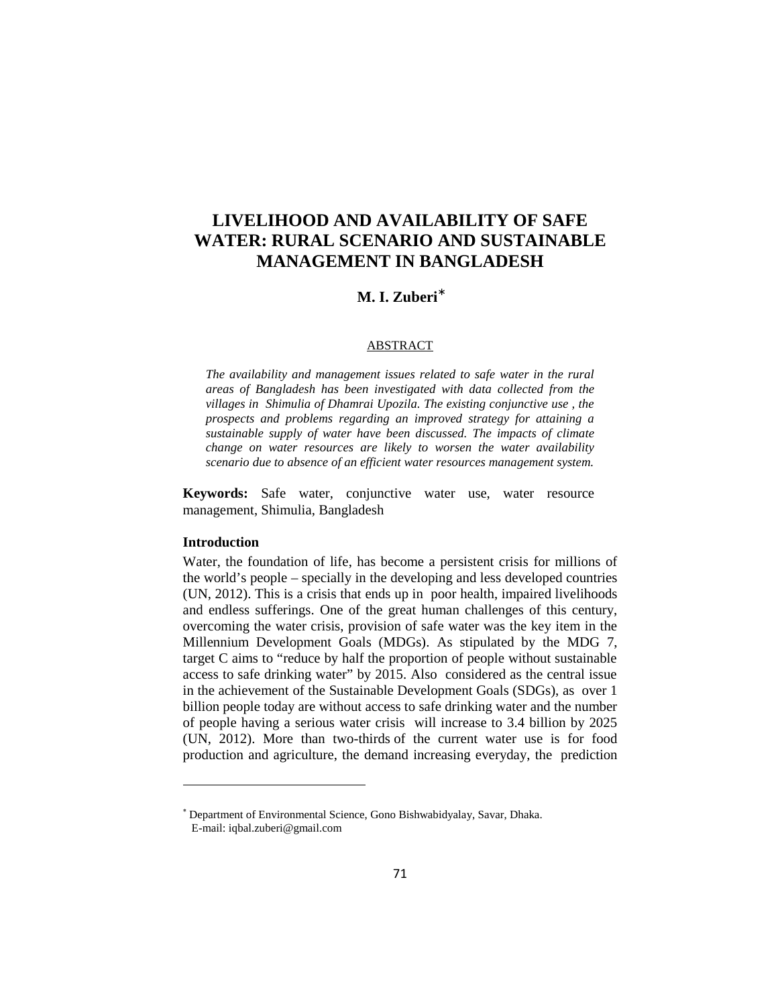# **LIVELIHOOD AND AVAILABILITY OF SAFE WATER: RURAL SCENARIO AND SUSTAINABLE MANAGEMENT IN BANGLADESH**

## **M. I. Zuberi**

#### ABSTRACT

*The availability and management issues related to safe water in the rural areas of Bangladesh has been investigated with data collected from the villages in Shimulia of Dhamrai Upozila. The existing conjunctive use , the prospects and problems regarding an improved strategy for attaining a sustainable supply of water have been discussed. The impacts of climate change on water resources are likely to worsen the water availability scenario due to absence of an efficient water resources management system.*

**Keywords:** Safe water, conjunctive water use, water resource management, Shimulia, Bangladesh

## **Introduction**

Water, the foundation of life, has become a persistent crisis for millions of the world's people – specially in the developing and less developed countries (UN, 2012). This is a crisis that ends up in poor health, impaired livelihoods and endless sufferings. One of the great human challenges of this century, overcoming the water crisis, provision of safe water was the key item in the Millennium Development Goals (MDGs). As stipulated by the MDG 7, target C aims to "reduce by half the proportion of people without sustainable access to safe drinking water" by 2015. Also considered as the central issue in the achievement of the Sustainable Development Goals (SDGs), as over 1 billion people today are without access to safe drinking water and the number of people having a serious water crisis will increase to 3.4 billion by 2025 (UN, 2012). More than two-thirds of the current water use is for food production and agriculture, the demand increasing everyday, the prediction

Department of Environmental Science, Gono Bishwabidyalay, Savar, Dhaka. E-mail: iqbal.zuberi@gmail.com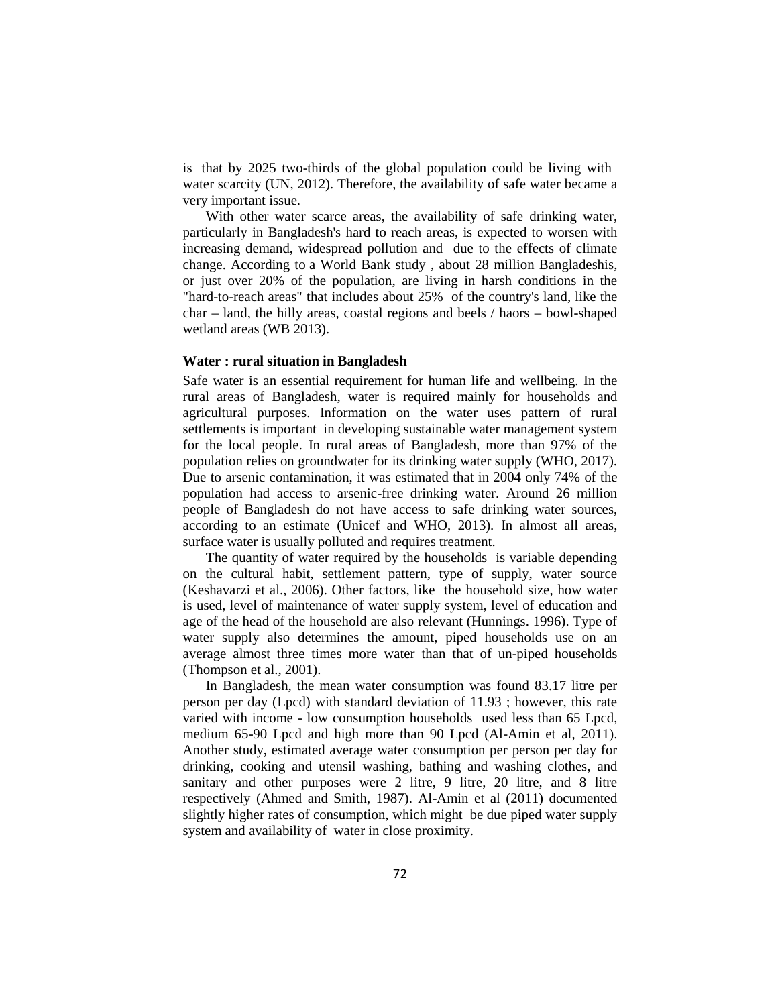is that by 2025 two-thirds of the global population could be living with water scarcity (UN, 2012). Therefore, the availability of safe water became a very important issue.

With other water scarce areas, the availability of safe drinking water, particularly in Bangladesh's hard to reach areas, is expected to worsen with increasing demand, widespread pollution and due to the effects of climate change. According to a World Bank study , about 28 million Bangladeshis, or just over 20% of the population, are living in harsh conditions in the "hard-to-reach areas" that includes about 25% of the country's land, like the char – land, the hilly areas, coastal regions and beels / haors – bowl-shaped wetland areas (WB 2013).

#### **Water : rural situation in Bangladesh**

Safe water is an essential requirement for human life and wellbeing. In the rural areas of Bangladesh, water is required mainly for households and agricultural purposes. Information on the water uses pattern of rural settlements is important in developing sustainable water management system for the local people. In rural areas of Bangladesh, more than 97% of the population relies on groundwater for its drinking water supply (WHO, 2017). Due to arsenic contamination, it was estimated that in 2004 only 74% of the population had access to arsenic-free drinking water. Around 26 million people of Bangladesh do not have access to safe drinking water sources, according to an estimate (Unicef and WHO, 2013). In almost all areas, surface water is usually polluted and requires treatment.

The quantity of water required by the households is variable depending on the cultural habit, settlement pattern, type of supply, water source (Keshavarzi et al., 2006). Other factors, like the household size, how water is used, level of maintenance of water supply system, level of education and age of the head of the household are also relevant (Hunnings. 1996). Type of water supply also determines the amount, piped households use on an average almost three times more water than that of un-piped households (Thompson et al., 2001).

In Bangladesh, the mean water consumption was found 83.17 litre per person per day (Lpcd) with standard deviation of 11.93 ; however, this rate varied with income - low consumption households used less than 65 Lpcd, medium 65-90 Lpcd and high more than 90 Lpcd (Al-Amin et al, 2011). Another study, estimated average water consumption per person per day for drinking, cooking and utensil washing, bathing and washing clothes, and sanitary and other purposes were 2 litre, 9 litre, 20 litre, and 8 litre respectively (Ahmed and Smith, 1987). Al-Amin et al (2011) documented slightly higher rates of consumption, which might be due piped water supply system and availability of water in close proximity.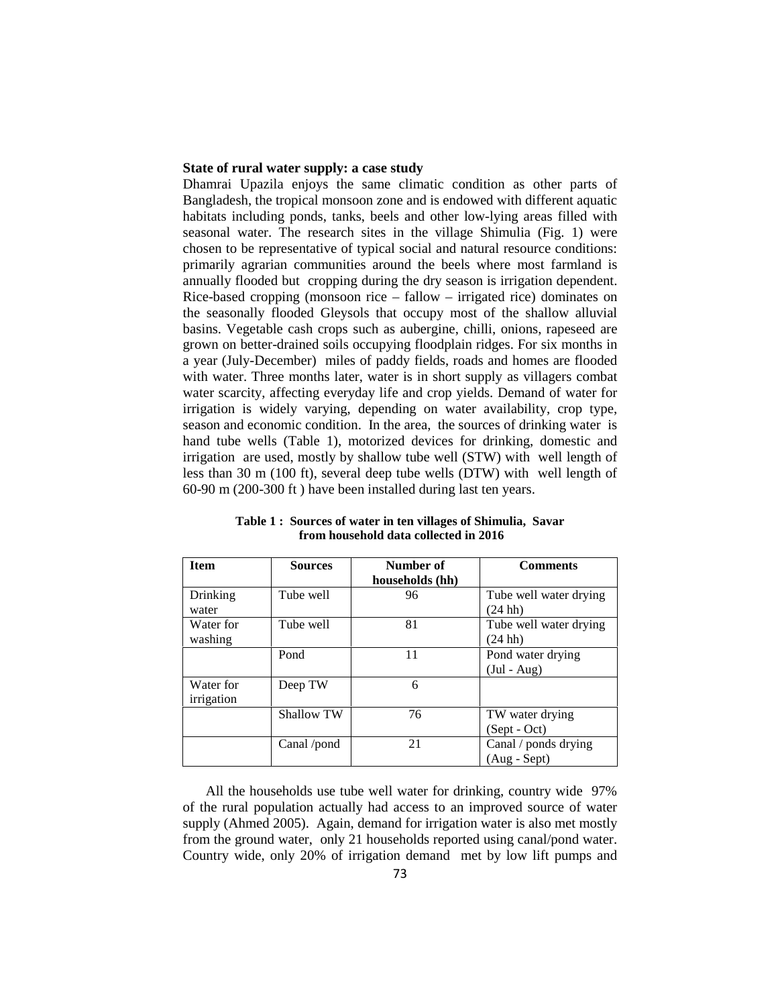## **State of rural water supply: a case study**

Dhamrai Upazila enjoys the same climatic condition as other parts of Bangladesh, the tropical monsoon zone and is endowed with different aquatic habitats including ponds, tanks, beels and other low-lying areas filled with seasonal water. The research sites in the village Shimulia (Fig. 1) were chosen to be representative of typical social and natural resource conditions: primarily agrarian communities around the beels where most farmland is annually flooded but cropping during the dry season is irrigation dependent. Rice-based cropping (monsoon rice – fallow – irrigated rice) dominates on the seasonally flooded Gleysols that occupy most of the shallow alluvial basins. Vegetable cash crops such as aubergine, chilli, onions, rapeseed are grown on better-drained soils occupying floodplain ridges. For six months in a year (July-December) miles of paddy fields, roads and homes are flooded with water. Three months later, water is in short supply as villagers combat water scarcity, affecting everyday life and crop yields. Demand of water for irrigation is widely varying, depending on water availability, crop type, season and economic condition. In the area, the sources of drinking water is hand tube wells (Table 1), motorized devices for drinking, domestic and irrigation are used, mostly by shallow tube well (STW) with well length of less than 30 m (100 ft), several deep tube wells (DTW) with well length of 60-90 m (200-300 ft ) have been installed during last ten years.

| <b>Item</b>             | <b>Sources</b>    | Number of<br>households (hh) | <b>Comments</b>                        |
|-------------------------|-------------------|------------------------------|----------------------------------------|
| Drinking<br>water       | Tube well         | 96                           | Tube well water drying<br>$(24$ hh)    |
| Water for<br>washing    | Tube well         | 81                           | Tube well water drying<br>$(24$ hh)    |
|                         | Pond              | 11                           | Pond water drying<br>$(Jul - Aug)$     |
| Water for<br>irrigation | Deep TW           | 6                            |                                        |
|                         | <b>Shallow TW</b> | 76                           | TW water drying<br>(Sept - Oct)        |
|                         | Canal /pond       | 21                           | Canal / ponds drying<br>$(Aug - Sept)$ |

**Table 1 : Sources of water in ten villages of Shimulia, Savar from household data collected in 2016**

All the households use tube well water for drinking, country wide 97% of the rural population actually had access to an improved source of water supply (Ahmed 2005). Again, demand for irrigation water is also met mostly from the ground water, only 21 households reported using canal/pond water. Country wide, only 20% of irrigation demand met by low lift pumps and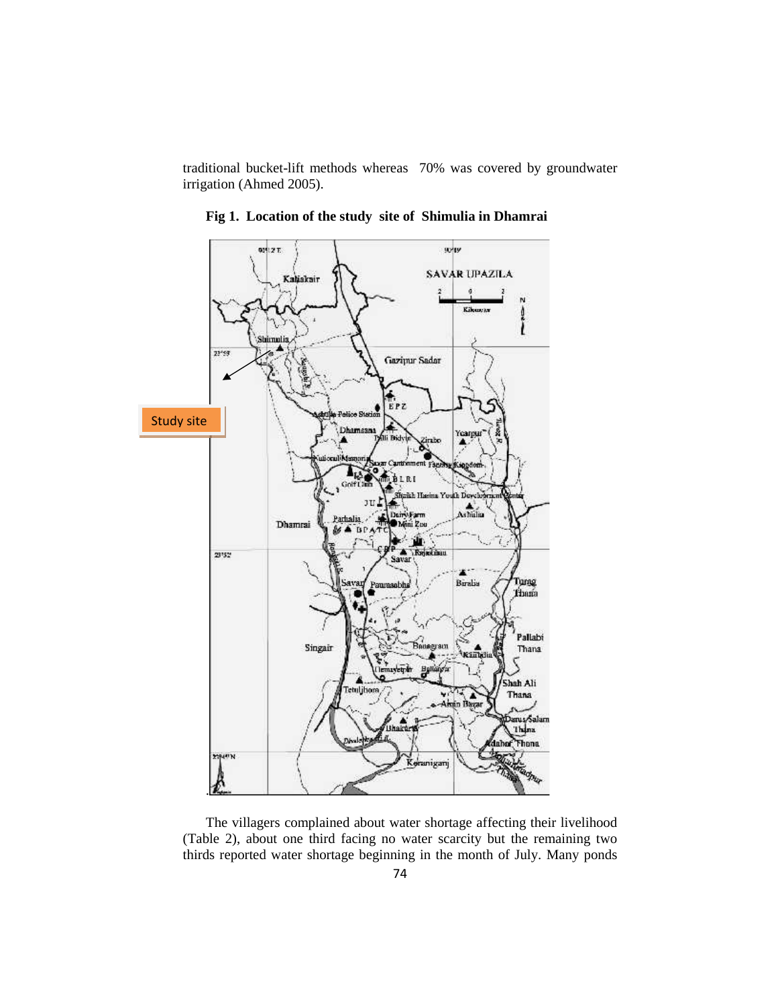traditional bucket-lift methods whereas 70% was covered by groundwater irrigation (Ahmed 2005).



**Fig 1. Location of the study site of Shimulia in Dhamrai**

(Table 2), about one third facing no water scarcity but the remaining two thirds reported water shortage beginning in the month of July. Many ponds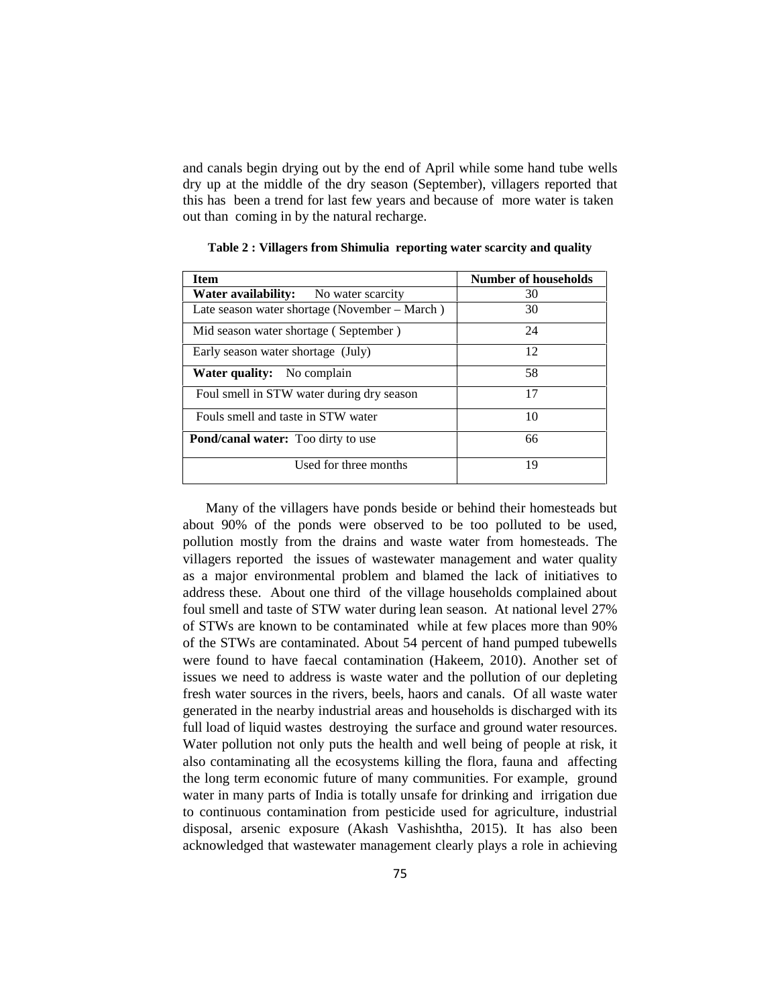and canals begin drying out by the end of April while some hand tube wells dry up at the middle of the dry season (September), villagers reported that this has been a trend for last few years and because of more water is taken out than coming in by the natural recharge.

| Number of households |
|----------------------|
| 30                   |
| 30                   |
| 24                   |
| 12                   |
| 58                   |
| 17                   |
| 10                   |
| 66                   |
| 19                   |
|                      |

**Table 2 : Villagers from Shimulia reporting water scarcity and quality**

Many of the villagers have ponds beside or behind their homesteads but about 90% of the ponds were observed to be too polluted to be used, pollution mostly from the drains and waste water from homesteads. The villagers reported the issues of wastewater management and water quality as a major environmental problem and blamed the lack of initiatives to address these. About one third of the village households complained about foul smell and taste of STW water during lean season. At national level 27% of STWs are known to be contaminated while at few places more than 90% of the STWs are contaminated. About 54 percent of hand pumped tubewells were found to have faecal contamination (Hakeem, 2010). Another set of issues we need to address is waste water and the pollution of our depleting fresh water sources in the rivers, beels, haors and canals. Of all waste water generated in the nearby industrial areas and households is discharged with its full load of liquid wastes destroying the surface and ground water resources. Water pollution not only puts the health and well being of people at risk, it also contaminating all the ecosystems killing the flora, fauna and affecting the long term economic future of many communities. For example, ground water in many parts of India is totally unsafe for drinking and irrigation due to continuous contamination from pesticide used for agriculture, industrial disposal, arsenic exposure (Akash Vashishtha, 2015). It has also been acknowledged that wastewater management clearly plays a role in achieving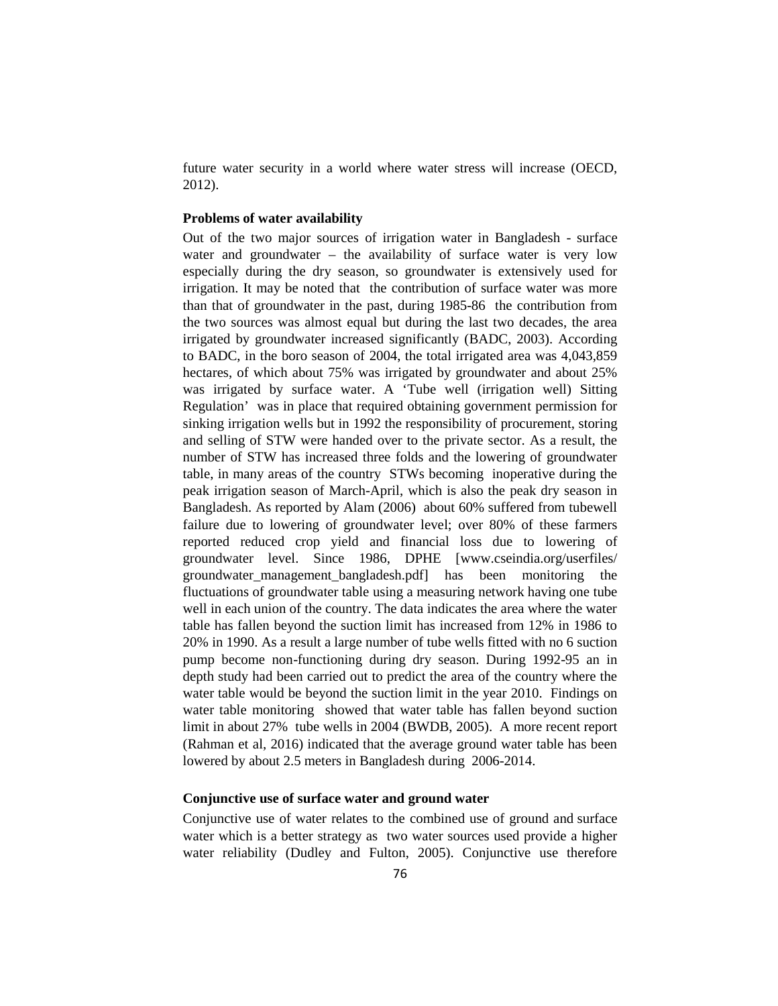future water security in a world where water stress will increase (OECD, 2012).

## **Problems of water availability**

Out of the two major sources of irrigation water in Bangladesh - surface water and groundwater – the availability of surface water is very low especially during the dry season, so groundwater is extensively used for irrigation. It may be noted that the contribution of surface water was more than that of groundwater in the past, during 1985-86 the contribution from the two sources was almost equal but during the last two decades, the area irrigated by groundwater increased significantly (BADC, 2003). According to BADC, in the boro season of 2004, the total irrigated area was 4,043,859 hectares, of which about 75% was irrigated by groundwater and about 25% was irrigated by surface water. A 'Tube well (irrigation well) Sitting Regulation' was in place that required obtaining government permission for sinking irrigation wells but in 1992 the responsibility of procurement, storing and selling of STW were handed over to the private sector. As a result, the number of STW has increased three folds and the lowering of groundwater table, in many areas of the country STWs becoming inoperative during the peak irrigation season of March-April, which is also the peak dry season in Bangladesh. As reported by Alam (2006) about 60% suffered from tubewell failure due to lowering of groundwater level; over 80% of these farmers reported reduced crop yield and financial loss due to lowering of groundwater level. Since 1986, DPHE [www.cseindia.org/userfiles/ groundwater\_management\_bangladesh.pdf] has been monitoring the fluctuations of groundwater table using a measuring network having one tube well in each union of the country. The data indicates the area where the water table has fallen beyond the suction limit has increased from 12% in 1986 to 20% in 1990. As a result a large number of tube wells fitted with no 6 suction pump become non-functioning during dry season. During 1992-95 an in depth study had been carried out to predict the area of the country where the water table would be beyond the suction limit in the year 2010. Findings on water table monitoring showed that water table has fallen beyond suction limit in about 27% tube wells in 2004 (BWDB, 2005). A more recent report (Rahman et al, 2016) indicated that the average ground water table has been lowered by about 2.5 meters in Bangladesh during 2006-2014.

## **Conjunctive use of surface water and ground water**

Conjunctive use of water relates to the combined use of ground and surface water which is a better strategy as two water sources used provide a higher water reliability (Dudley and Fulton, 2005). Conjunctive use therefore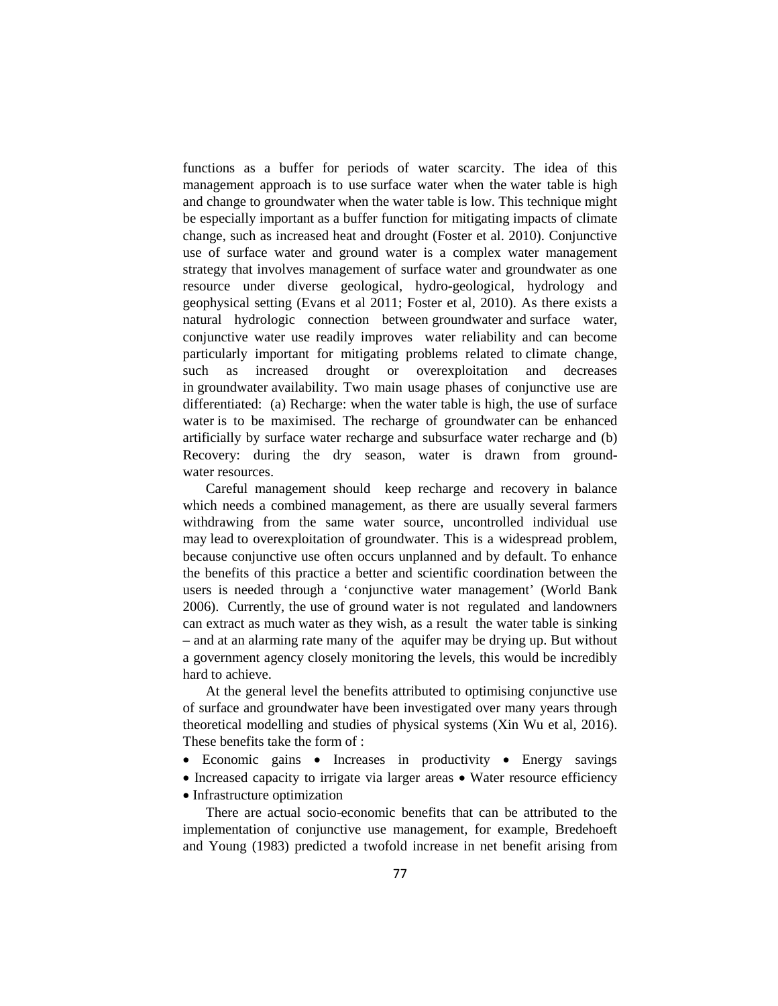functions as a buffer for periods of water scarcity. The idea of this management approach is to use surface water when the water table is high and change to groundwater when the water table is low. This technique might be especially important as a buffer function for mitigating impacts of climate change, such as increased heat and drought (Foster et al. 2010). Conjunctive use of surface water and ground water is a complex water management strategy that involves management of surface water and groundwater as one resource under diverse geological, hydro-geological, hydrology and geophysical setting (Evans et al 2011; Foster et al, 2010). As there exists a natural hydrologic connection between groundwater and surface water, conjunctive water use readily improves water reliability and can become particularly important for mitigating problems related to climate change, such as increased drought or overexploitation and decreases in groundwater availability. Two main usage phases of conjunctive use are differentiated: (a) Recharge: when the water table is high, the use of surface water is to be maximised. The recharge of groundwater can be enhanced artificially by surface water recharge and subsurface water recharge and (b) Recovery: during the dry season, water is drawn from ground water resources.

Careful management should keep recharge and recovery in balance which needs a combined management, as there are usually several farmers withdrawing from the same water source, uncontrolled individual use may lead to overexploitation of groundwater. This is a widespread problem, because conjunctive use often occurs unplanned and by default. To enhance the benefits of this practice a better and scientific coordination between the users is needed through a 'conjunctive water management' (World Bank 2006). Currently, the use of ground water is not regulated and landowners can extract as much water as they wish, as a result the water table is sinking – and at an alarming rate many of the aquifer may be drying up. But without a government agency closely monitoring the levels, this would be incredibly hard to achieve.

At the general level the benefits attributed to optimising conjunctive use of surface and groundwater have been investigated over many years through theoretical modelling and studies of physical systems (Xin Wu et al, 2016). These benefits take the form of :

- Economic gains Increases in productivity Energy savings
- Increased capacity to irrigate via larger areas Water resource efficiency • Infrastructure optimization

There are actual socio-economic benefits that can be attributed to the implementation of conjunctive use management, for example, Bredehoeft and Young (1983) predicted a twofold increase in net benefit arising from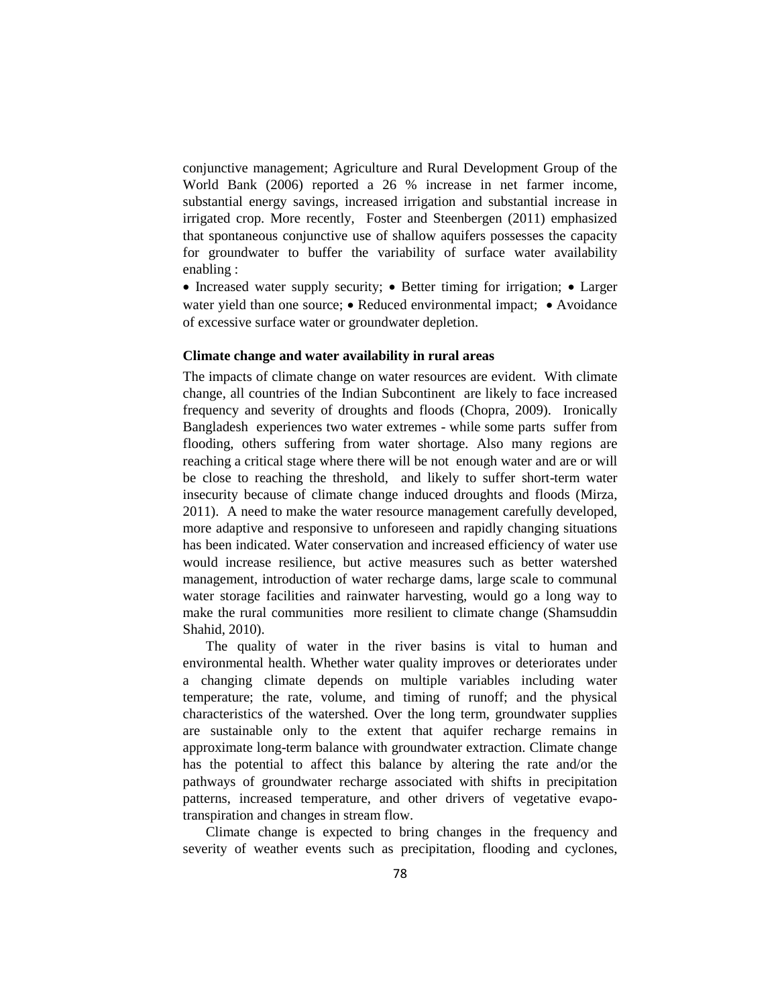conjunctive management; Agriculture and Rural Development Group of the World Bank (2006) reported a 26 % increase in net farmer income, substantial energy savings, increased irrigation and substantial increase in irrigated crop. More recently, Foster and Steenbergen (2011) emphasized that spontaneous conjunctive use of shallow aquifers possesses the capacity for groundwater to buffer the variability of surface water availability enabling :

• Increased water supply security; • Better timing for irrigation; • Larger water yield than one source; • Reduced environmental impact; • Avoidance of excessive surface water or groundwater depletion.

## **Climate change and water availability in rural areas**

The impacts of climate change on water resources are evident. With climate change, all countries of the Indian Subcontinent are likely to face increased frequency and severity of droughts and floods (Chopra, 2009). Ironically Bangladesh experiences two water extremes - while some parts suffer from flooding, others suffering from water shortage. Also many regions are reaching a critical stage where there will be not enough water and are or will be close to reaching the threshold, and likely to suffer short-term water insecurity because of climate change induced droughts and floods (Mirza, 2011). A need to make the water resource management carefully developed, more adaptive and responsive to unforeseen and rapidly changing situations has been indicated. Water conservation and increased efficiency of water use would increase resilience, but active measures such as better watershed management, introduction of water recharge dams, large scale to communal water storage facilities and rainwater harvesting, would go a long way to make the rural communities more resilient to climate change (Shamsuddin Shahid, 2010).

The quality of water in the river basins is vital to human and environmental health. Whether water quality improves or deteriorates under a changing climate depends on multiple variables including water temperature; the rate, volume, and timing of runoff; and the physical characteristics of the watershed. Over the long term, groundwater supplies are sustainable only to the extent that aquifer recharge remains in approximate long-term balance with groundwater extraction. Climate change has the potential to affect this balance by altering the rate and/or the pathways of groundwater recharge associated with shifts in precipitation patterns, increased temperature, and other drivers of vegetative evapotranspiration and changes in stream flow.

Climate change is expected to bring changes in the frequency and severity of weather events such as precipitation, flooding and cyclones,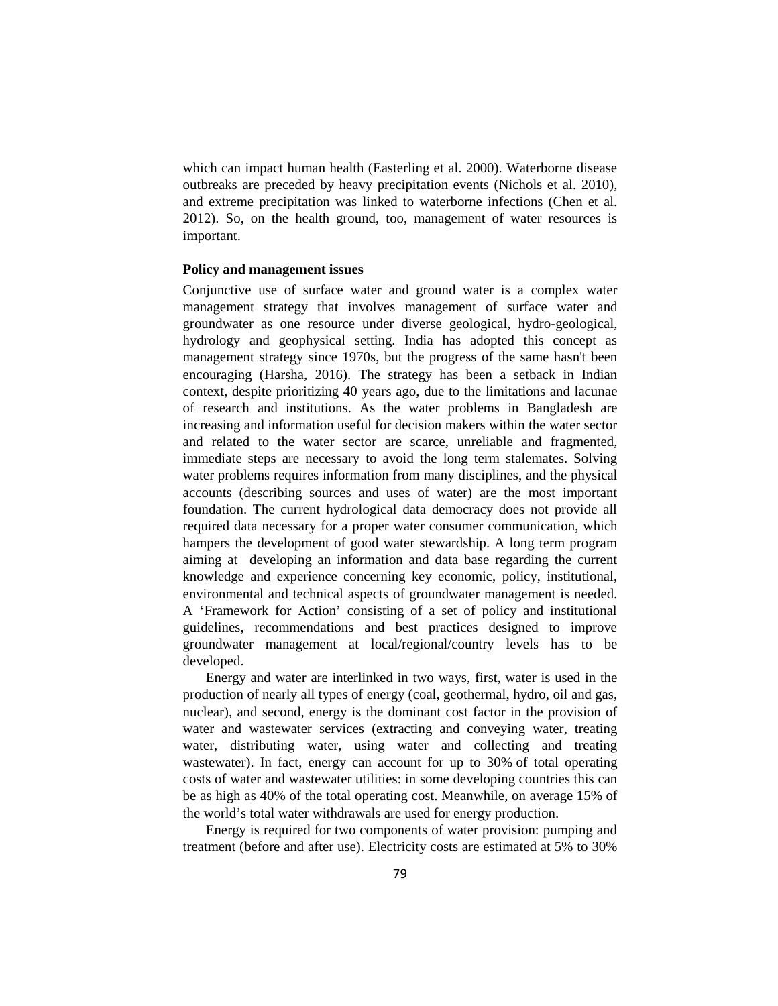which can impact human health (Easterling et al. 2000). Waterborne disease outbreaks are preceded by heavy precipitation events (Nichols et al. 2010), and extreme precipitation was linked to waterborne infections (Chen et al. 2012). So, on the health ground, too, management of water resources is important.

#### **Policy and management issues**

Conjunctive use of surface water and ground water is a complex water management strategy that involves management of surface water and groundwater as one resource under diverse geological, hydro-geological, hydrology and geophysical setting. India has adopted this concept as management strategy since 1970s, but the progress of the same hasn't been encouraging (Harsha, 2016). The strategy has been a setback in Indian context, despite prioritizing 40 years ago, due to the limitations and lacunae of research and institutions. As the water problems in Bangladesh are increasing and information useful for decision makers within the water sector and related to the water sector are scarce, unreliable and fragmented, immediate steps are necessary to avoid the long term stalemates. Solving water problems requires information from many disciplines, and the physical accounts (describing sources and uses of water) are the most important foundation. The current hydrological data democracy does not provide all required data necessary for a proper water consumer communication, which hampers the development of good water stewardship. A long term program aiming at developing an information and data base regarding the current knowledge and experience concerning key economic, policy, institutional, environmental and technical aspects of groundwater management is needed. A 'Framework for Action' consisting of a set of policy and institutional guidelines, recommendations and best practices designed to improve groundwater management at local/regional/country levels has to be developed.

Energy and water are interlinked in two ways, first, water is used in the production of nearly all types of energy (coal, geothermal, hydro, oil and gas, nuclear), and second, energy is the dominant cost factor in the provision of water and wastewater services (extracting and conveying water, treating water, distributing water, using water and collecting and treating wastewater). In fact, energy can account for up to 30% of total operating costs of water and wastewater utilities: in some developing countries this can be as high as 40% of the total operating cost. Meanwhile, on average 15% of the world's total water withdrawals are used for energy production.

Energy is required for two components of water provision: pumping and treatment (before and after use). Electricity costs are estimated at 5% to 30%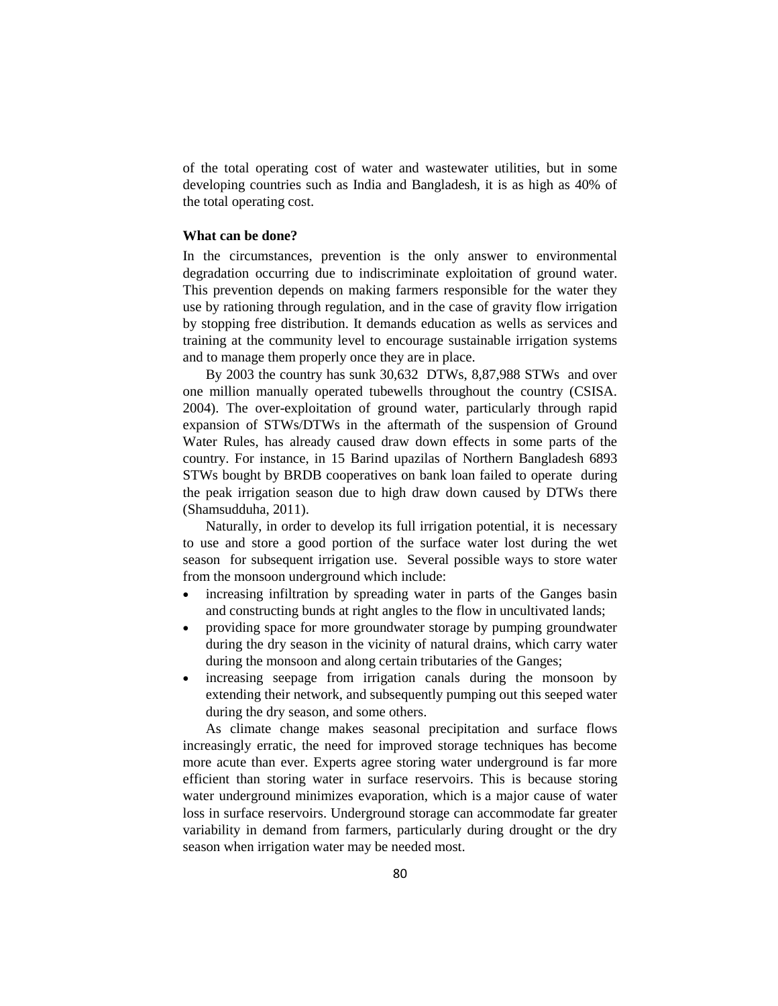of the total operating cost of water and wastewater utilities, but in some developing countries such as India and Bangladesh, it is as high as 40% of the total operating cost.

### **What can be done?**

In the circumstances, prevention is the only answer to environmental degradation occurring due to indiscriminate exploitation of ground water. This prevention depends on making farmers responsible for the water they use by rationing through regulation, and in the case of gravity flow irrigation by stopping free distribution. It demands education as wells as services and training at the community level to encourage sustainable irrigation systems and to manage them properly once they are in place.

By 2003 the country has sunk 30,632 DTWs, 8,87,988 STWs and over one million manually operated tubewells throughout the country (CSISA. 2004). The over-exploitation of ground water, particularly through rapid expansion of STWs/DTWs in the aftermath of the suspension of Ground Water Rules, has already caused draw down effects in some parts of the country. For instance, in 15 Barind upazilas of Northern Bangladesh 6893 STWs bought by BRDB cooperatives on bank loan failed to operate during the peak irrigation season due to high draw down caused by DTWs there (Shamsudduha, 2011).

Naturally, in order to develop its full irrigation potential, it is necessary to use and store a good portion of the surface water lost during the wet season for subsequent irrigation use. Several possible ways to store water from the monsoon underground which include:

- increasing infiltration by spreading water in parts of the Ganges basin and constructing bunds at right angles to the flow in uncultivated lands;
- providing space for more groundwater storage by pumping groundwater during the dry season in the vicinity of natural drains, which carry water during the monsoon and along certain tributaries of the Ganges;
- increasing seepage from irrigation canals during the monsoon by extending their network, and subsequently pumping out this seeped water during the dry season, and some others.

As climate change makes seasonal precipitation and surface flows increasingly erratic, the need for improved storage techniques has become more acute than ever. Experts agree storing water underground is far more efficient than storing water in surface reservoirs. This is because storing water underground minimizes evaporation, which is a major cause of water loss in surface reservoirs. Underground storage can accommodate far greater variability in demand from farmers, particularly during drought or the dry season when irrigation water may be needed most.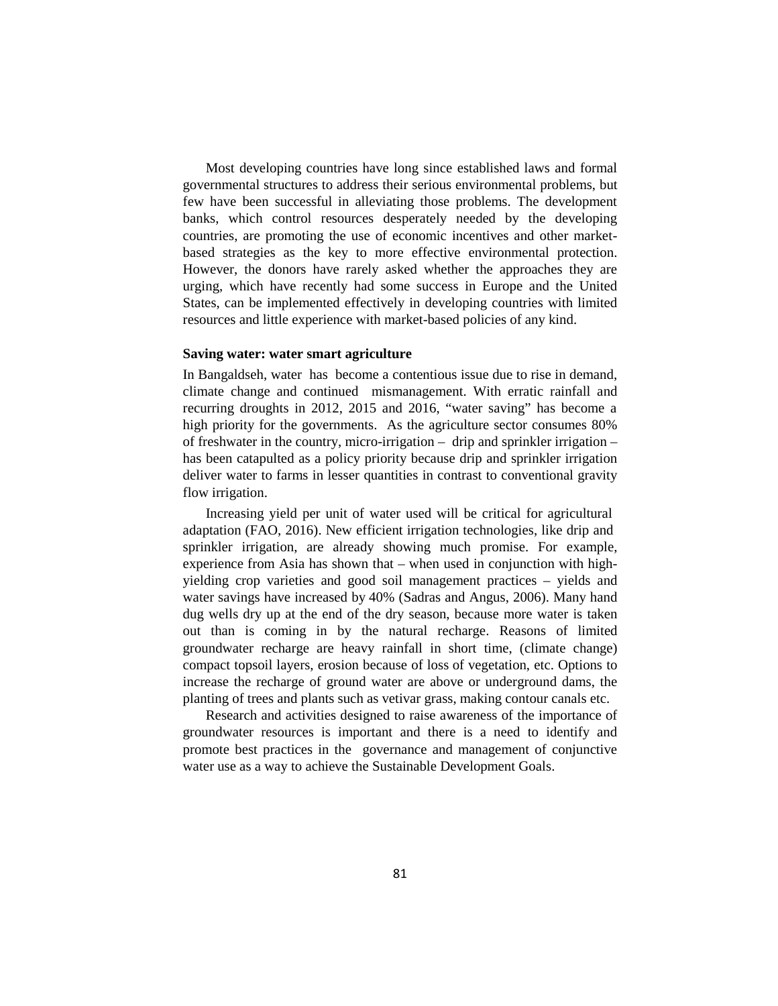Most developing countries have long since established laws and formal governmental structures to address their serious environmental problems, but few have been successful in alleviating those problems. The development banks, which control resources desperately needed by the developing countries, are promoting the use of economic incentives and other market based strategies as the key to more effective environmental protection. However, the donors have rarely asked whether the approaches they are urging, which have recently had some success in Europe and the United States, can be implemented effectively in developing countries with limited resources and little experience with market-based policies of any kind.

#### **Saving water: water smart agriculture**

In Bangaldseh, water has become a contentious issue due to rise in demand, climate change and continued mismanagement. With erratic rainfall and recurring droughts in 2012, 2015 and 2016, "water saving" has become a high priority for the governments. As the agriculture sector consumes 80% of freshwater in the country, micro-irrigation – drip and sprinkler irrigation – has been catapulted as a policy priority because drip and sprinkler irrigation deliver water to farms in lesser quantities in contrast to conventional gravity flow irrigation.

Increasing yield per unit of water used will be critical for agricultural adaptation (FAO, 2016). New efficient irrigation technologies, like drip and sprinkler irrigation, are already showing much promise. For example, experience from Asia has shown that – when used in conjunction with high yielding crop varieties and good soil management practices – yields and water savings have increased by 40% (Sadras and Angus, 2006). Many hand dug wells dry up at the end of the dry season, because more water is taken out than is coming in by the natural recharge. Reasons of limited groundwater recharge are heavy rainfall in short time, (climate change) compact topsoil layers, erosion because of loss of vegetation, etc. Options to increase the recharge of ground water are above or underground dams, the planting of trees and plants such as vetivar grass, making contour canals etc.

Research and activities designed to raise awareness of the importance of groundwater resources is important and there is a need to identify and promote best practices in the governance and management of conjunctive water use as a way to achieve the Sustainable Development Goals.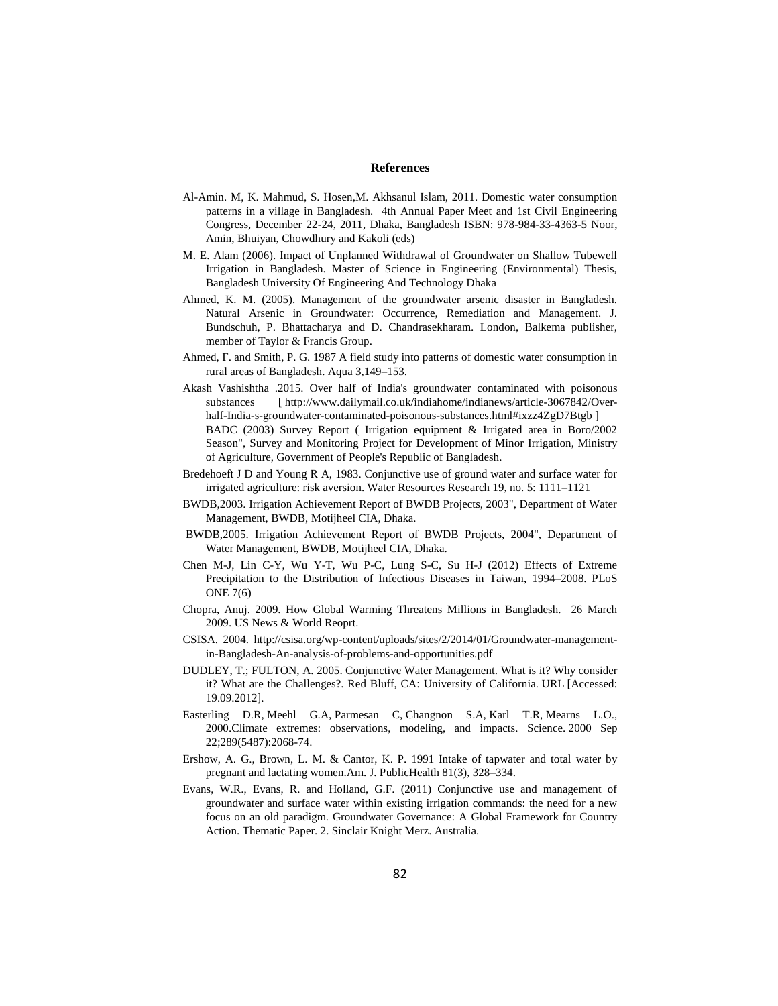#### **References**

- Al-Amin. M, K. Mahmud, S. Hosen,M. Akhsanul Islam, 2011. Domestic water consumption patterns in a village in Bangladesh. 4th Annual Paper Meet and 1st Civil Engineering Congress, December 22-24, 2011, Dhaka, Bangladesh ISBN: 978-984-33-4363-5 Noor, Amin, Bhuiyan, Chowdhury and Kakoli (eds)
- M. E. Alam (2006). Impact of Unplanned Withdrawal of Groundwater on Shallow Tubewell Irrigation in Bangladesh. Master of Science in Engineering (Environmental) Thesis, Bangladesh University Of Engineering And Technology Dhaka
- Ahmed, K. M. (2005). Management of the groundwater arsenic disaster in Bangladesh. Natural Arsenic in Groundwater: Occurrence, Remediation and Management. J. Bundschuh, P. Bhattacharya and D. Chandrasekharam. London, Balkema publisher, member of Taylor & Francis Group.
- Ahmed, F. and Smith, P. G. 1987 A field study into patterns of domestic water consumption in rural areas of Bangladesh. Aqua 3,149–153.
- Akash Vashishtha .2015. Over half of India's groundwater contaminated with poisonous substances [ http://www.dailymail.co.uk/indiahome/indianews/article-3067842/Over half-India-s-groundwater-contaminated-poisonous-substances.html#ixzz4ZgD7Btgb ] BADC (2003) Survey Report ( Irrigation equipment & Irrigated area in Boro/2002 Season", Survey and Monitoring Project for Development of Minor Irrigation, Ministry of Agriculture, Government of People's Republic of Bangladesh.
- Bredehoeft J D and Young R A, 1983. Conjunctive use of ground water and surface water for irrigated agriculture: risk aversion. Water Resources Research 19, no. 5: 1111–1121
- BWDB,2003. Irrigation Achievement Report of BWDB Projects, 2003", Department of Water Management, BWDB, Motijheel CIA, Dhaka.
- BWDB,2005. Irrigation Achievement Report of BWDB Projects, 2004", Department of Water Management, BWDB, Motijheel CIA, Dhaka.
- Chen M-J, Lin C-Y, Wu Y-T, Wu P-C, Lung S-C, Su H-J (2012) Effects of Extreme Precipitation to the Distribution of Infectious Diseases in Taiwan, 1994–2008. PLoS ONE 7(6)
- Chopra, Anuj. 2009. How Global Warming Threatens Millions in Bangladesh. 26 March 2009. US News & World Reoprt.
- CSISA. 2004. http://csisa.org/wp-content/uploads/sites/2/2014/01/Groundwater-managementin-Bangladesh-An-analysis-of-problems-and-opportunities.pdf
- DUDLEY, T.; FULTON, A. 2005. Conjunctive Water Management. What is it? Why consider it? What are the Challenges?. Red Bluff, CA: University of California. URL [Accessed: 19.09.2012].
- Easterling D.R, Meehl G.A, Parmesan C, Changnon S.A, Karl T.R, Mearns L.O., 2000.Climate extremes: observations, modeling, and impacts. Science. 2000 Sep 22;289(5487):2068-74.
- Ershow, A. G., Brown, L. M. & Cantor, K. P. 1991 Intake of tapwater and total water by pregnant and lactating women.Am. J. PublicHealth 81(3), 328–334.
- Evans, W.R., Evans, R. and Holland, G.F. (2011) Conjunctive use and management of groundwater and surface water within existing irrigation commands: the need for a new focus on an old paradigm. Groundwater Governance: A Global Framework for Country Action. Thematic Paper. 2. Sinclair Knight Merz. Australia.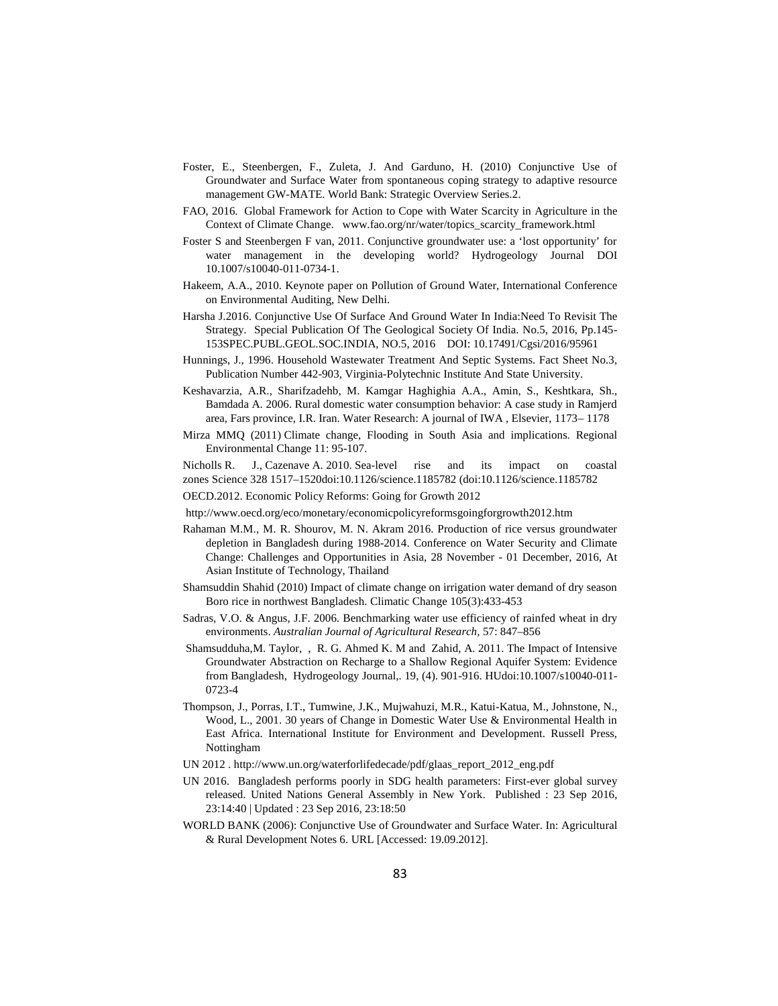- Foster, E., Steenbergen, F., Zuleta, J. And Garduno, H. (2010) Conjunctive Use of Groundwater and Surface Water from spontaneous coping strategy to adaptive resource management GW-MATE. World Bank: Strategic Overview Series.2.
- FAO, 2016. Global Framework for Action to Cope with Water Scarcity in Agriculture in the Context of Climate Change. www.fao.org/nr/water/topics\_scarcity\_framework.html
- Foster S and Steenbergen F van, 2011. Conjunctive groundwater use: a 'lost opportunity' for water management in the developing world? Hydrogeology Journal DOI 10.1007/s10040-011-0734-1.
- Hakeem, A.A., 2010. Keynote paper on Pollution of Ground Water, International Conference on Environmental Auditing, New Delhi.
- Harsha J.2016. Conjunctive Use Of Surface And Ground Water In India:Need To Revisit The Strategy. Special Publication Of The Geological Society Of India. No.5, 2016, Pp.145- 153SPEC.PUBL.GEOL.SOC.INDIA, NO.5, 2016 DOI: 10.17491/Cgsi/2016/95961
- Hunnings, J., 1996. Household Wastewater Treatment And Septic Systems. Fact Sheet No.3, Publication Number 442-903, Virginia-Polytechnic Institute And State University.
- Keshavarzia, A.R., Sharifzadehb, M. Kamgar Haghighia A.A., Amin, S., Keshtkara, Sh., Bamdada A. 2006. Rural domestic water consumption behavior: A case study in Ramjerd area, Fars province, I.R. Iran. Water Research: A journal of IWA , Elsevier, 1173– 1178
- Mirza MMQ (2011) Climate change, Flooding in South Asia and implications. Regional Environmental Change 11: 95-107.

Nicholls R. J., Cazenave A. 2010. Sea-level rise and its impact on coastal zones Science 328 1517–1520doi:10.1126/science.1185782 (doi:10.1126/science.1185782

- OECD.2012. Economic Policy Reforms: Going for Growth 2012
- http://www.oecd.org/eco/monetary/economicpolicyreformsgoingforgrowth2012.htm
- Rahaman M.M., M. R. Shourov, M. N. Akram 2016. Production of rice versus groundwater depletion in Bangladesh during 1988-2014. Conference on Water Security and Climate Change: Challenges and Opportunities in Asia, 28 November - 01 December, 2016, At Asian Institute of Technology, Thailand
- Shamsuddin Shahid (2010) Impact of climate change on irrigation water demand of dry season Boro rice in northwest Bangladesh. Climatic Change 105(3):433-453
- Sadras, V.O. & Angus, J.F. 2006. Benchmarking water use efficiency of rainfed wheat in dry environments. *Australian Journal of Agricultural Research,* 57: 847–856
- Shamsudduha,M. Taylor, , R. G. Ahmed K. M and Zahid, A. 2011. The Impact of Intensive Groundwater Abstraction on Recharge to a Shallow Regional Aquifer System: Evidence from Bangladesh, Hydrogeology Journal,. 19, (4). 901-916. HUdoi:10.1007/s10040-011- 0723-4
- Thompson, J., Porras, I.T., Tumwine, J.K., Mujwahuzi, M.R., Katui-Katua, M., Johnstone, N., Wood, L., 2001. 30 years of Change in Domestic Water Use & Environmental Health in East Africa. International Institute for Environment and Development. Russell Press, Nottingham
- UN 2012 . http://www.un.org/waterforlifedecade/pdf/glaas\_report\_2012\_eng.pdf
- UN 2016. Bangladesh performs poorly in SDG health parameters: First-ever global survey released. United Nations General Assembly in New York. Published : 23 Sep 2016, 23:14:40 | Updated : 23 Sep 2016, 23:18:50
- WORLD BANK (2006): Conjunctive Use of Groundwater and Surface Water. In: Agricultural & Rural Development Notes 6. URL [Accessed: 19.09.2012].